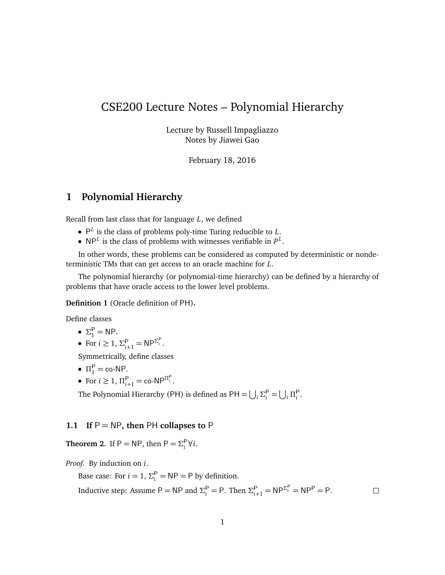# CSE200 Lecture Notes – Polynomial Hierarchy

Lecture by Russell Impagliazzo Notes by Jiawei Gao

February 18, 2016

## **1 Polynomial Hierarchy**

Recall from last class that for language *L*, we defined

- P *L* is the class of problems poly-time Turing reducible to *L*.
- $NP<sup>L</sup>$  is the class of problems with witnesses verifiable in  $P<sup>L</sup>$ .

In other words, these problems can be considered as computed by deterministic or nondeterministic TMs that can get access to an oracle machine for *L*.

The polynomial hierarchy (or polynomial-time hierarchy) can be defined by a hierarchy of problems that have oracle access to the lower level problems.

#### **Definition 1** (Oracle definition of PH)**.**

Define classes

$$
\bullet \ \Sigma_1^P = NP.
$$

• For 
$$
i \ge 1
$$
,  $\Sigma_{i+1}^P = NP^{\Sigma_i^P}$ .

Symmetrically, define classes

- $\Pi_1^P = \text{co-NP}.$
- For  $i \ge 1$ ,  $\Pi_{i+1}^{\mathsf{P}} = \text{co-NP}^{\Pi_i^{\mathsf{P}}}$ .

The Polynomial Hierarchy (PH) is defined as  $PH = \bigcup_i \Sigma_i^P = \bigcup_i \Pi_i^P$ .

#### **1.1 If** P = NP**, then** PH **collapses to** P

**Theorem 2.** If  $P = NP$ , then  $P = \sum_i^P \forall i$ .

*Proof.* By induction on *i*.

Base case: For  $i = 1$ ,  $\Sigma_i^P = NP = P$  by definition.

Inductive step: Assume  $P = NP$  and  $\Sigma_i^P = P$ . Then  $\Sigma_{i+1}^P = NP^{\Sigma_i^P} = NP^P = P$ .

 $\Box$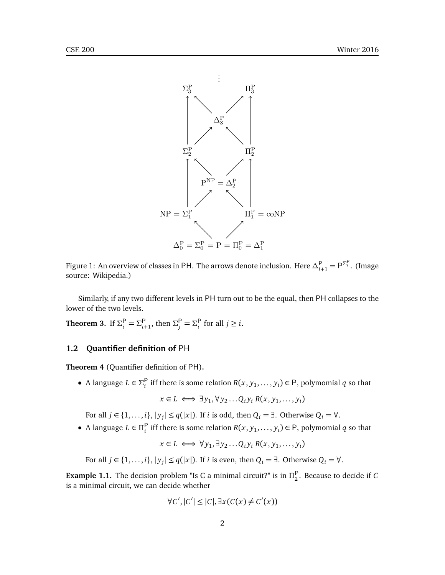



Similarly, if any two different levels in PH turn out to be the equal, then PH collapses to the lower of the two levels.

**Theorem 3.** If  $\Sigma_i^{\mathsf{P}} = \Sigma_{i}^{\mathsf{P}}$  $\sum_{i=1}^{P}$ , then  $\Sigma_j^P = \Sigma_i^P$  for all  $j \geq i$ .

### **1.2 Quantifier definition of** PH

**Theorem 4** (Quantifier definition of PH)**.**

• A language  $L \in \Sigma_i^P$  iff there is some relation  $R(x, y_1, \ldots, y_i) \in P$ , polymomial *q* so that

 $x \in L \iff \exists y_1, \forall y_2... Q_i y_i R(x, y_1,..., y_i)$ 

For all  $j \in \{1, ..., i\}$ ,  $|y_j| \le q(|x|)$ . If *i* is odd, then  $Q_i = \exists$ . Otherwise  $Q_i = \forall$ .

• A language  $L \in \Pi_i^P$  iff there is some relation  $R(x, y_1, \ldots, y_i) \in P$ , polymomial *q* so that

$$
x \in L \iff \forall y_1, \exists y_2 \dots Q_i y_i R(x, y_1, \dots, y_i)
$$

For all  $j \in \{1, ..., i\}$ ,  $|y_j| \le q(|x|)$ . If *i* is even, then  $Q_i = \exists$ . Otherwise  $Q_i = \forall$ .

**Example 1.1.** The decision problem "Is C a minimal circuit?" is in  $\Pi_2^{\mathsf{P}}$ . Because to decide if *C* is a minimal circuit, we can decide whether

$$
\forall C', |C'| \leq |C|, \exists x (C(x) \neq C'(x))
$$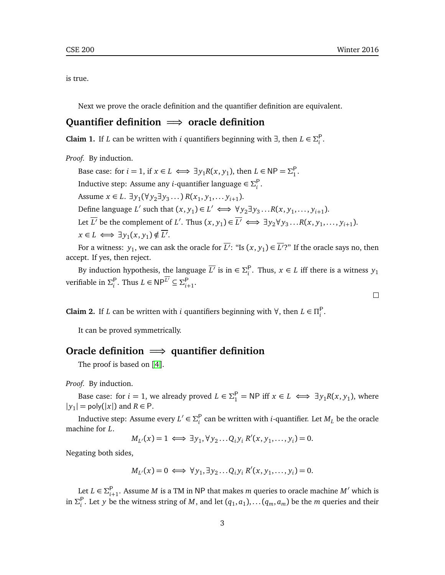is true.

Next we prove the oracle definition and the quantifier definition are equivalent.

## **Quantifier definition** =⇒ **oracle definition**

**Claim 1.** If *L* can be written with *i* quantifiers beginning with ∃, then  $L \in \Sigma_i^P$ .

*Proof.* By induction.

Base case: for  $i = 1$ , if  $x \in L \iff \exists y_1 R(x, y_1)$ , then  $L \in \mathsf{NP} = \Sigma_1^{\mathsf{P}}$ . Inductive step: Assume any *i*-quantifier language  $\in \Sigma_{i}^{\mathsf{P}}$ . Assume  $x \in L$ .  $\exists y_1 (\forall y_2 \exists y_3 ...) R(x_1, y_1, \dots, y_{i+1})$ . Define language *L'* such that  $(x, y_1) \in L' \iff \forall y_2 \exists y_3 ... R(x, y_1, ..., y_{i+1})$ . Let  $\overline{L'}$  be the complement of *L'*. Thus  $(x, y_1) \in \overline{L'} \iff \exists y_2 \forall y_3 \dots R(x, y_1, \dots, y_{i+1})$ .  $x \in L \iff \exists y_1(x, y_1) \notin \overline{L'}$ .

For a witness:  $y_1$ , we can ask the oracle for  $\overline{L'}$ : "Is  $(x, y_1)$   $\in$   $\overline{L'}$ ?" If the oracle says no, then accept. If yes, then reject.

By induction hypothesis, the language  $\overline{L'}$  is in  $\in \Sigma_i^P$ . Thus,  $x \in L$  iff there is a witness  $y_1$  $\text{verifiable in } \Sigma_i^{\mathsf{P}}$ . Thus  $L \in \mathsf{NP}^{\overline{L'}} \subseteq \Sigma_{i}^{\mathsf{P}}$ *i*+1 .

**Claim 2.** If *L* can be written with *i* quantifiers beginning with  $\forall$ , then  $L \in \Pi_i^P$ .

It can be proved symmetrically.

## **Oracle definition** =⇒ **quantifier definition**

The proof is based on [[4](#page-4-0)].

*Proof.* By induction.

Base case: for  $i = 1$ , we already proved  $L \in \Sigma_1^P = NP$  iff  $x \in L \iff \exists y_1 R(x, y_1)$ , where  $|y_1|$  = poly( $|x|$ ) and  $R \in P$ .

Inductive step: Assume every  $L' \in \Sigma_i^{\mathsf{P}}$  can be written with *i*-quantifier. Let  $M_L$  be the oracle machine for *L*.

$$
M_{L'}(x) = 1 \iff \exists y_1, \forall y_2 \dots Q_i y_i R'(x, y_1, \dots, y_i) = 0.
$$

Negating both sides,

$$
M_{L'}(x) = 0 \iff \forall y_1, \exists y_2 \dots Q_i y_i R'(x, y_1, \dots, y_i) = 0.
$$

Let  $L \in \Sigma_{i}^{\mathsf{P}}$  $_{i+1}^{\mathsf{P}}$ . Assume *M* is a TM in NP that makes *m* queries to oracle machine *M'* which is in  $\Sigma_i^{\mathsf{P}}$ . Let *y* be the witness string of *M*, and let  $(q_1, a_1)$ , ...  $(q_m, a_m)$  be the *m* queries and their

 $\Box$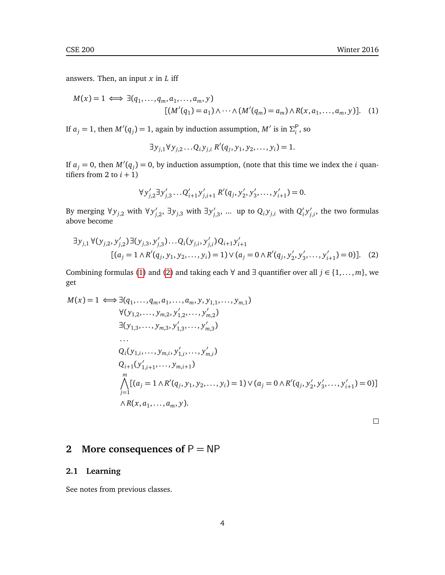answers. Then, an input *x* in *L* iff

$$
M(x) = 1 \iff \exists (q_1, \dots, q_m, a_1, \dots, a_m, y)
$$

$$
[(M'(q_1) = a_1) \land \dots \land (M'(q_m) = a_m) \land R(x, a_1, \dots, a_m, y)]. \quad (1)
$$

If  $a_j = 1$ , then  $M'(q_j) = 1$ , again by induction assumption,  $M'$  is in  $\Sigma_i^P$ , so

<span id="page-3-0"></span> $\exists y_{j,1} \forall y_{j,2} \dots Q_i y_{j,i} R'(q_j, y_1, y_2, \dots, y_i) = 1.$ 

If  $a_j = 0$ , then  $M'(q_j) = 0$ , by induction assumption, (note that this time we index the *i* quantifiers from 2 to  $i + 1$ )

$$
\forall y'_{j,2} \exists y'_{j,3} \dots Q'_{i+1} y'_{j,i+1} R'(q_j, y'_2, y'_3, \dots, y'_{i+1}) = 0.
$$

By merging  $\forall y_{j,2}$  with  $\forall y'_{j,2}$ , ∃ $y_{j,3}$  with  $\exists y'_{j,3}$ , ... up to  $Q_i y_{j,i}$  with  $Q'_i$  $i<sup>j</sup>$  $'_{j,i}$ , the two formulas above become

$$
\exists y_{j,1} \forall (y_{j,2}, y'_{j,2}) \exists (y_{j,3}, y'_{j,3}) \dots Q_i(y_{j,i}, y'_{j,i}) Q_{i+1} y'_{i+1}
$$
  
[(a<sub>j</sub> = 1  $\land$  R'(q<sub>j</sub>, y<sub>1</sub>, y<sub>2</sub>,..., y<sub>i</sub>) = 1)  $\lor$  (a<sub>j</sub> = 0  $\land$  R'(q<sub>j</sub>, y'<sub>2</sub>, y'<sub>3</sub>,..., y'<sub>i+1</sub>) = 0)]. (2)

Combining formulas [\(1\)](#page-3-0) and [\(2\)](#page-3-1) and taking each  $\forall$  and  $\exists$  quantifier over all  $j \in \{1, ..., m\}$ , we get

$$
M(x) = 1 \iff \exists (q_1, ..., q_m, a_1, ..., a_m, y, y_{1,1}, ..., y_{m,1})
$$
  
\n
$$
\forall (y_{1,2}, ..., y_{m,2}, y'_{1,2}, ..., y'_{m,2})
$$
  
\n
$$
\exists (y_{1,3}, ..., y_{m,3}, y'_{1,3}, ..., y'_{m,3})
$$
  
\n...\n
$$
Q_i(y_{1,i}, ..., y_{m,i}, y'_{1,i}, ..., y'_{m,i})
$$
  
\n
$$
Q_{i+1}(y'_{1,i+1}, ..., y_{m,i+1})
$$
  
\n
$$
\bigwedge_{j=1}^m [(a_j = 1 \land R'(q_j, y_1, y_2, ..., y_i) = 1) \lor (a_j = 0 \land R'(q_j, y'_2, y'_3, ..., y'_{i+1}) = 0)]
$$
  
\n
$$
\land R(x, a_1, ..., a_m, y).
$$

<span id="page-3-1"></span> $\Box$ 

## **2** More consequences of  $P = NP$

### **2.1 Learning**

See notes from previous classes.